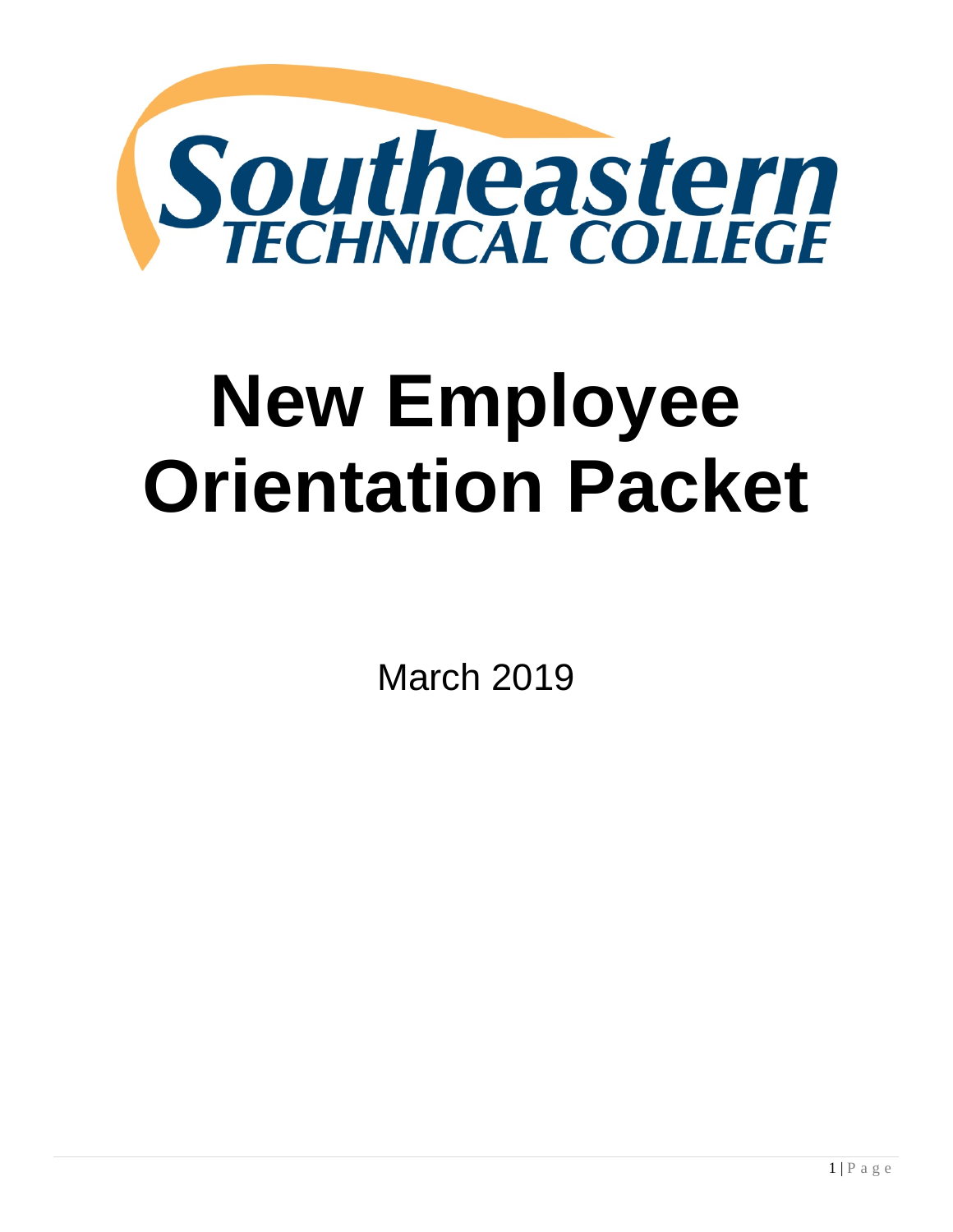

# **New Employee Orientation Packet**

March 2019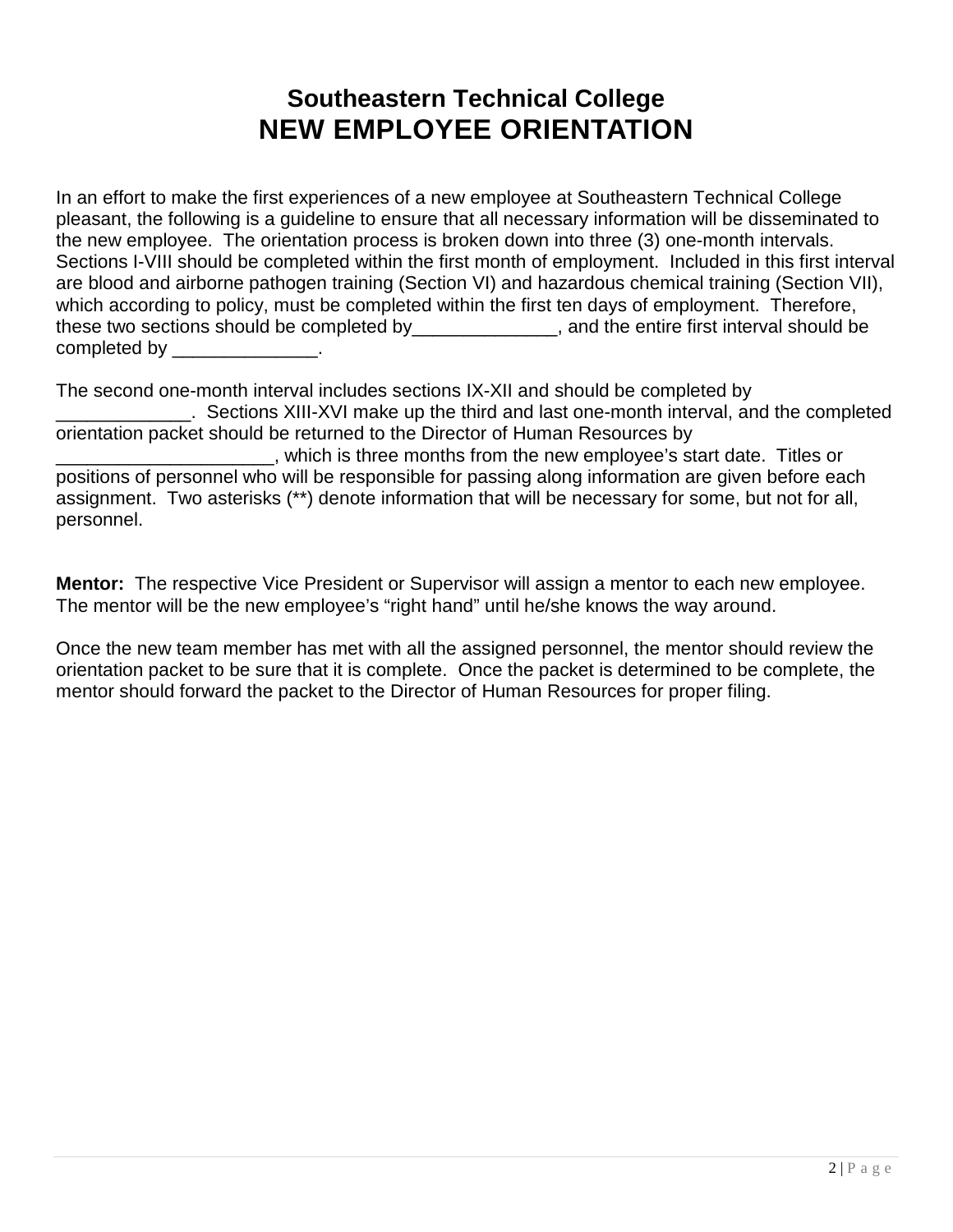# **Southeastern Technical College NEW EMPLOYEE ORIENTATION**

In an effort to make the first experiences of a new employee at Southeastern Technical College pleasant, the following is a guideline to ensure that all necessary information will be disseminated to the new employee. The orientation process is broken down into three (3) one-month intervals. Sections I-VIII should be completed within the first month of employment. Included in this first interval are blood and airborne pathogen training (Section VI) and hazardous chemical training (Section VII), which according to policy, must be completed within the first ten days of employment. Therefore, these two sections should be completed by entire first interval should be these two sections should be completed by \_\_\_\_\_\_\_\_\_\_\_\_\_\_\_.

The second one-month interval includes sections IX-XII and should be completed by \_\_\_\_\_\_\_\_\_\_\_\_\_. Sections XIII-XVI make up the third and last one-month interval, and the completed orientation packet should be returned to the Director of Human Resources by \_\_\_\_\_\_\_\_\_\_\_\_\_\_\_\_\_\_\_\_\_, which is three months from the new employee's start date. Titles or positions of personnel who will be responsible for passing along information are given before each assignment. Two asterisks (\*\*) denote information that will be necessary for some, but not for all, personnel.

**Mentor:** The respective Vice President or Supervisor will assign a mentor to each new employee. The mentor will be the new employee's "right hand" until he/she knows the way around.

Once the new team member has met with all the assigned personnel, the mentor should review the orientation packet to be sure that it is complete. Once the packet is determined to be complete, the mentor should forward the packet to the Director of Human Resources for proper filing.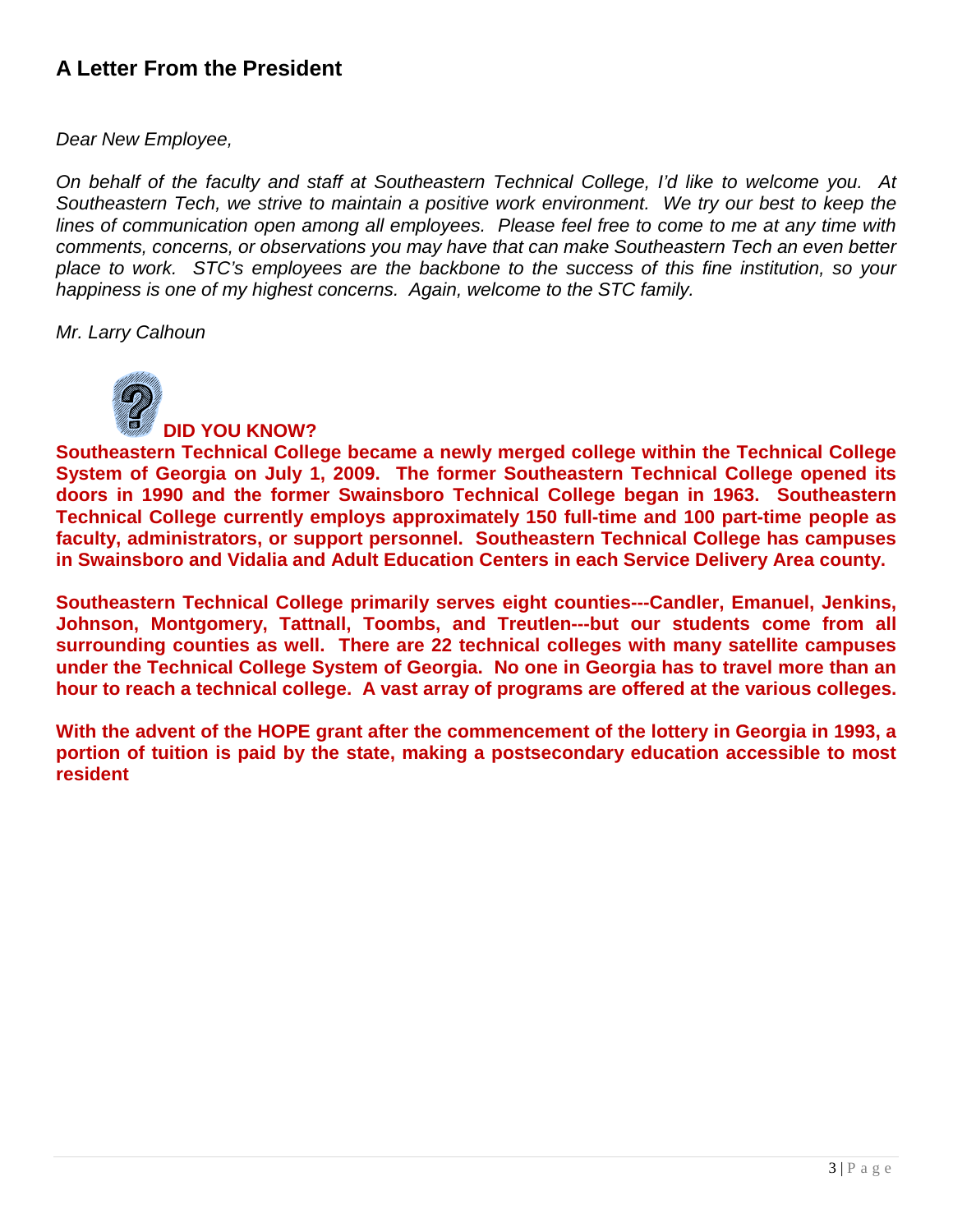# **A Letter From the President**

*Dear New Employee,*

*On behalf of the faculty and staff at Southeastern Technical College, I'd like to welcome you. At Southeastern Tech, we strive to maintain a positive work environment. We try our best to keep the lines of communication open among all employees. Please feel free to come to me at any time with comments, concerns, or observations you may have that can make Southeastern Tech an even better place to work. STC's employees are the backbone to the success of this fine institution, so your happiness is one of my highest concerns. Again, welcome to the STC family.*

*Mr. Larry Calhoun*



**DID YOU KNOW?**

**Southeastern Technical College became a newly merged college within the Technical College System of Georgia on July 1, 2009. The former Southeastern Technical College opened its doors in 1990 and the former Swainsboro Technical College began in 1963. Southeastern Technical College currently employs approximately 150 full-time and 100 part-time people as faculty, administrators, or support personnel. Southeastern Technical College has campuses in Swainsboro and Vidalia and Adult Education Centers in each Service Delivery Area county.**

**Southeastern Technical College primarily serves eight counties---Candler, Emanuel, Jenkins, Johnson, Montgomery, Tattnall, Toombs, and Treutlen---but our students come from all surrounding counties as well. There are 22 technical colleges with many satellite campuses under the Technical College System of Georgia. No one in Georgia has to travel more than an hour to reach a technical college. A vast array of programs are offered at the various colleges.**

**With the advent of the HOPE grant after the commencement of the lottery in Georgia in 1993, a portion of tuition is paid by the state, making a postsecondary education accessible to most resident**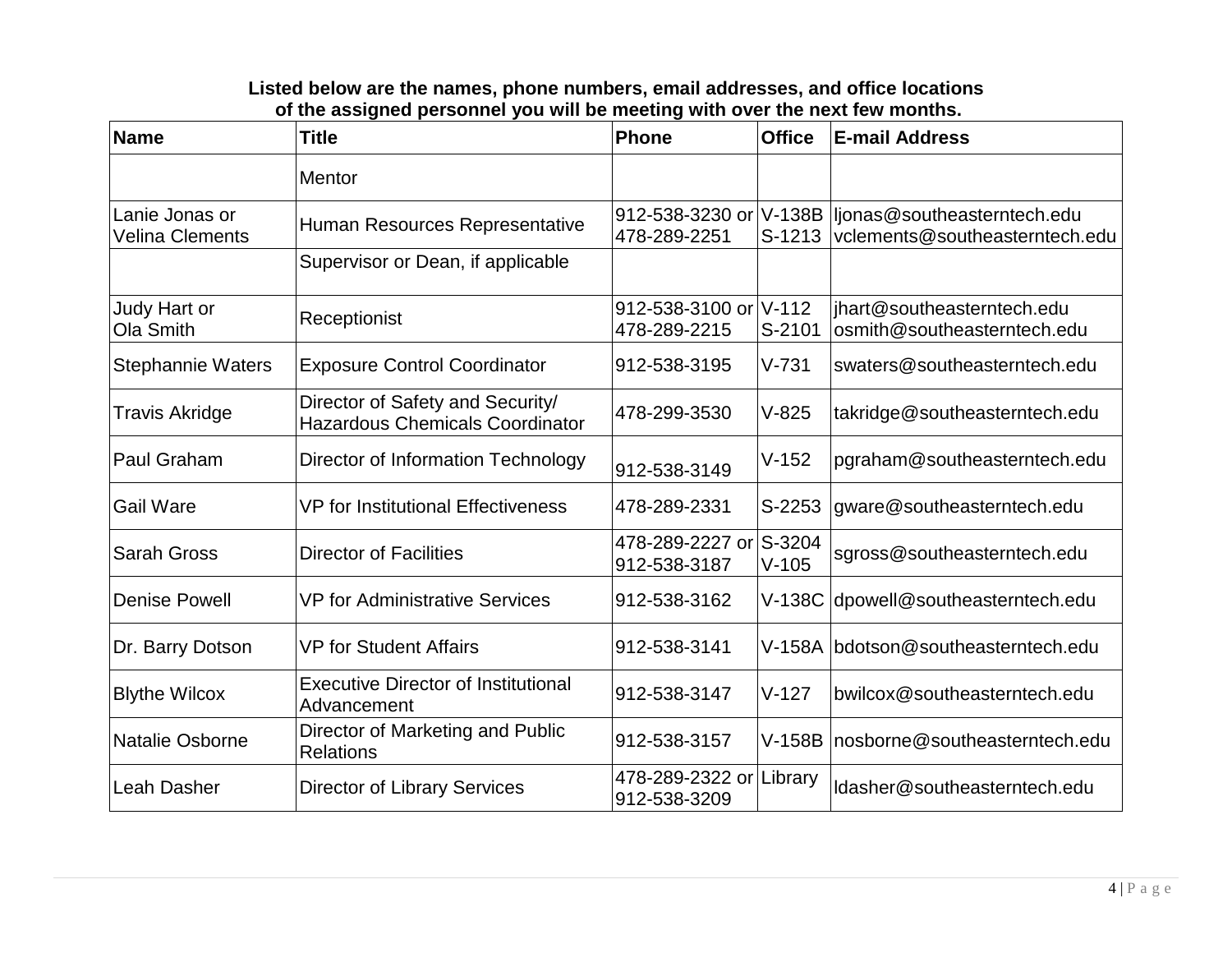#### **Listed below are the names, phone numbers, email addresses, and office locations of the assigned personnel you will be meeting with over the next few months.**

| <b>Name</b>                       | <b>Title</b>                                                               | Phone                                  | <b>Office</b>      | <b>E-mail Address</b>                                         |
|-----------------------------------|----------------------------------------------------------------------------|----------------------------------------|--------------------|---------------------------------------------------------------|
|                                   | <b>Mentor</b>                                                              |                                        |                    |                                                               |
| Lanie Jonas or<br>Velina Clements | Human Resources Representative                                             | 912-538-3230 or<br>478-289-2251        | V-138B<br>$S-1213$ | ljonas@southeasterntech.edu<br>vclements@southeasterntech.edu |
|                                   | Supervisor or Dean, if applicable                                          |                                        |                    |                                                               |
| Judy Hart or<br>Ola Smith         | Receptionist                                                               | 912-538-3100 or V-112<br>478-289-2215  | S-2101             | jhart@southeasterntech.edu<br>osmith@southeasterntech.edu     |
| <b>Stephannie Waters</b>          | <b>Exposure Control Coordinator</b>                                        | 912-538-3195                           | $V - 731$          | swaters@southeasterntech.edu                                  |
| <b>Travis Akridge</b>             | Director of Safety and Security/<br><b>Hazardous Chemicals Coordinator</b> | 478-299-3530                           | $V-825$            | takridge@southeasterntech.edu                                 |
| <b>Paul Graham</b>                | Director of Information Technology                                         | 912-538-3149                           | $V-152$            | pgraham@southeasterntech.edu                                  |
| <b>Gail Ware</b>                  | <b>VP for Institutional Effectiveness</b>                                  | 478-289-2331                           | S-2253             | gware@southeasterntech.edu                                    |
| <b>Sarah Gross</b>                | <b>Director of Facilities</b>                                              | 478-289-2227 or S-3204<br>912-538-3187 | $V-105$            | sgross@southeasterntech.edu                                   |
| <b>Denise Powell</b>              | <b>VP for Administrative Services</b>                                      | 912-538-3162                           | $V-138C$           | dpowell@southeasterntech.edu                                  |
| Dr. Barry Dotson                  | <b>VP for Student Affairs</b>                                              | 912-538-3141                           |                    | V-158A bdotson@southeasterntech.edu                           |
| <b>Blythe Wilcox</b>              | <b>Executive Director of Institutional</b><br>Advancement                  | 912-538-3147                           | $V-127$            | bwilcox@southeasterntech.edu                                  |
| <b>Natalie Osborne</b>            | Director of Marketing and Public<br>Relations                              | 912-538-3157                           | $V-158B$           | nosborne@southeasterntech.edu                                 |
| <b>Leah Dasher</b>                | <b>Director of Library Services</b>                                        | 478-289-2322 or<br>912-538-3209        | Library            | Idasher@southeasterntech.edu                                  |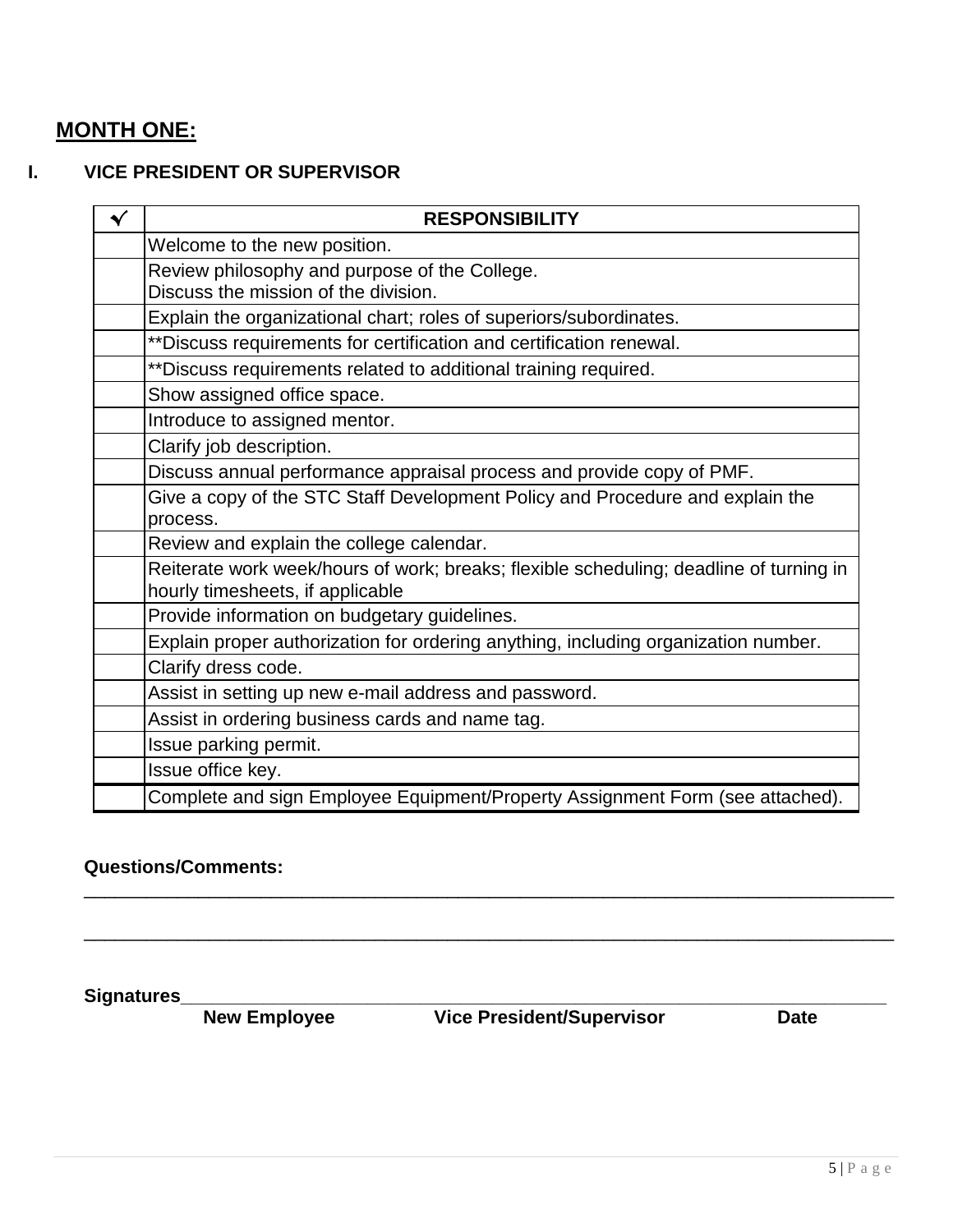# **MONTH ONE:**

#### **I. VICE PRESIDENT OR SUPERVISOR**

| $\blacktriangledown$ | <b>RESPONSIBILITY</b>                                                                                                      |
|----------------------|----------------------------------------------------------------------------------------------------------------------------|
|                      | Welcome to the new position.                                                                                               |
|                      | Review philosophy and purpose of the College.<br>Discuss the mission of the division.                                      |
|                      | Explain the organizational chart; roles of superiors/subordinates.                                                         |
|                      | ** Discuss requirements for certification and certification renewal.                                                       |
|                      | ** Discuss requirements related to additional training required.                                                           |
|                      | Show assigned office space.                                                                                                |
|                      | Introduce to assigned mentor.                                                                                              |
|                      | Clarify job description.                                                                                                   |
|                      | Discuss annual performance appraisal process and provide copy of PMF.                                                      |
|                      | Give a copy of the STC Staff Development Policy and Procedure and explain the<br>process.                                  |
|                      | Review and explain the college calendar.                                                                                   |
|                      | Reiterate work week/hours of work; breaks; flexible scheduling; deadline of turning in<br>hourly timesheets, if applicable |
|                      | Provide information on budgetary guidelines.                                                                               |
|                      | Explain proper authorization for ordering anything, including organization number.                                         |
|                      | Clarify dress code.                                                                                                        |
|                      | Assist in setting up new e-mail address and password.                                                                      |
|                      | Assist in ordering business cards and name tag.                                                                            |
|                      | Issue parking permit.                                                                                                      |
|                      | Issue office key.                                                                                                          |
|                      | Complete and sign Employee Equipment/Property Assignment Form (see attached).                                              |

\_\_\_\_\_\_\_\_\_\_\_\_\_\_\_\_\_\_\_\_\_\_\_\_\_\_\_\_\_\_\_\_\_\_\_\_\_\_\_\_\_\_\_\_\_\_\_\_\_\_\_\_\_\_\_\_\_\_\_\_\_\_\_\_\_\_\_\_\_\_\_\_\_\_\_\_\_\_

\_\_\_\_\_\_\_\_\_\_\_\_\_\_\_\_\_\_\_\_\_\_\_\_\_\_\_\_\_\_\_\_\_\_\_\_\_\_\_\_\_\_\_\_\_\_\_\_\_\_\_\_\_\_\_\_\_\_\_\_\_\_\_\_\_\_\_\_\_\_\_\_\_\_\_\_\_\_

#### **Questions/Comments:**

**Signatures\_\_\_\_\_\_\_\_\_\_\_\_\_\_\_\_\_\_\_\_\_\_\_\_\_\_\_\_\_\_\_\_\_\_\_\_\_\_\_\_\_\_\_\_\_\_\_\_\_\_\_\_\_\_\_\_\_\_\_\_\_\_\_\_\_\_\_\_ Vice President/Supervisor**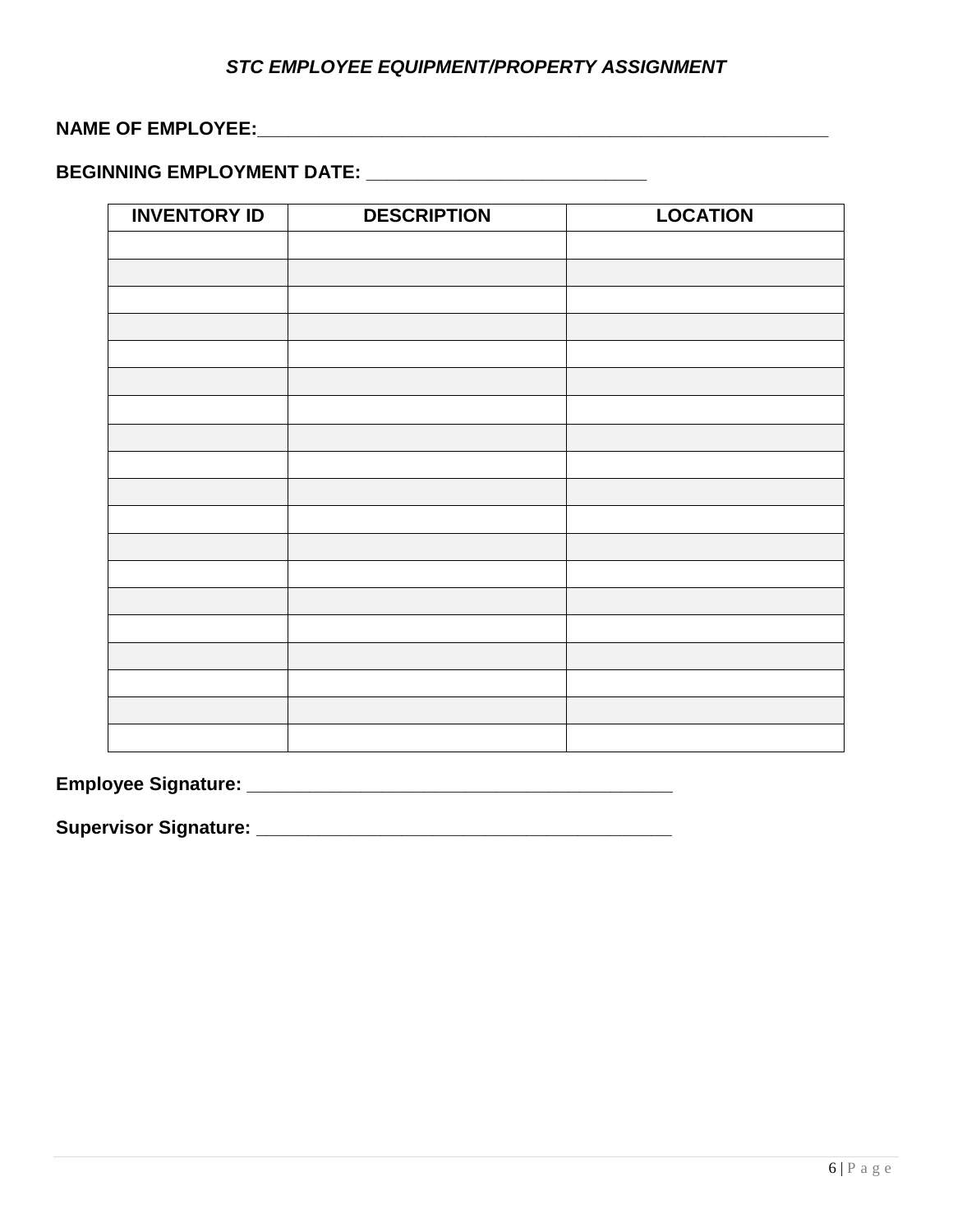#### *STC EMPLOYEE EQUIPMENT/PROPERTY ASSIGNMENT*

#### **NAME OF EMPLOYEE:**

# **BEGINNING EMPLOYMENT DATE: \_\_\_\_\_\_\_\_\_\_\_\_\_\_\_\_\_\_\_\_\_\_\_\_\_\_\_**

| <b>INVENTORY ID</b> | <b>DESCRIPTION</b> | <b>LOCATION</b> |
|---------------------|--------------------|-----------------|
|                     |                    |                 |
|                     |                    |                 |
|                     |                    |                 |
|                     |                    |                 |
|                     |                    |                 |
|                     |                    |                 |
|                     |                    |                 |
|                     |                    |                 |
|                     |                    |                 |
|                     |                    |                 |
|                     |                    |                 |
|                     |                    |                 |
|                     |                    |                 |
|                     |                    |                 |
|                     |                    |                 |
|                     |                    |                 |
|                     |                    |                 |
|                     |                    |                 |
|                     |                    |                 |

**Employee Signature: \_\_\_\_\_\_\_\_\_\_\_\_\_\_\_\_\_\_\_\_\_\_\_\_\_\_\_\_\_\_\_\_\_\_\_\_\_\_\_\_\_**

**Supervisor Signature: \_\_\_\_\_\_\_\_\_\_\_\_\_\_\_\_\_\_\_\_\_\_\_\_\_\_\_\_\_\_\_\_\_\_\_\_\_\_\_\_**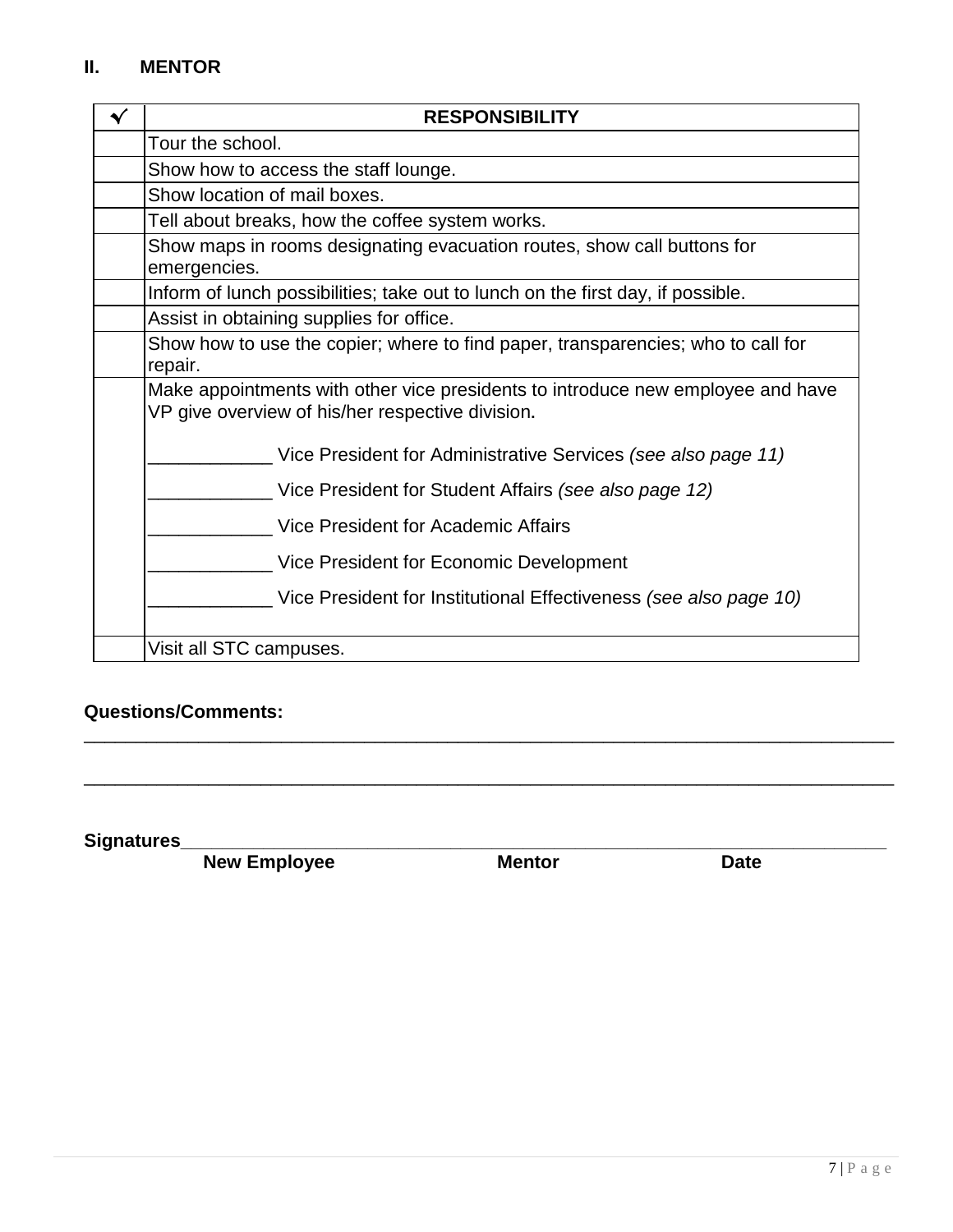### **II. MENTOR**

| ✔ | <b>RESPONSIBILITY</b>                                                                                                               |
|---|-------------------------------------------------------------------------------------------------------------------------------------|
|   | Tour the school.                                                                                                                    |
|   | Show how to access the staff lounge.                                                                                                |
|   | Show location of mail boxes.                                                                                                        |
|   | Tell about breaks, how the coffee system works.                                                                                     |
|   | Show maps in rooms designating evacuation routes, show call buttons for<br>emergencies.                                             |
|   | Inform of lunch possibilities; take out to lunch on the first day, if possible.                                                     |
|   | Assist in obtaining supplies for office.                                                                                            |
|   | Show how to use the copier; where to find paper, transparencies; who to call for<br>repair.                                         |
|   | Make appointments with other vice presidents to introduce new employee and have<br>VP give overview of his/her respective division. |
|   | Vice President for Administrative Services (see also page 11)                                                                       |
|   | Vice President for Student Affairs (see also page 12)                                                                               |
|   | Vice President for Academic Affairs                                                                                                 |
|   | Vice President for Economic Development                                                                                             |
|   | Vice President for Institutional Effectiveness (see also page 10)                                                                   |
|   | Visit all STC campuses.                                                                                                             |

#### **Questions/Comments:**

**Signatures\_\_\_\_\_\_\_\_\_\_\_\_\_\_\_\_\_\_\_\_\_\_\_\_\_\_\_\_\_\_\_\_\_\_\_\_\_\_\_\_\_\_\_\_\_\_\_\_\_\_\_\_\_\_\_\_\_\_\_\_\_\_\_\_\_\_\_\_ New Employee** 

\_\_\_\_\_\_\_\_\_\_\_\_\_\_\_\_\_\_\_\_\_\_\_\_\_\_\_\_\_\_\_\_\_\_\_\_\_\_\_\_\_\_\_\_\_\_\_\_\_\_\_\_\_\_\_\_\_\_\_\_\_\_\_\_\_\_\_\_\_\_\_\_\_\_\_\_\_\_

\_\_\_\_\_\_\_\_\_\_\_\_\_\_\_\_\_\_\_\_\_\_\_\_\_\_\_\_\_\_\_\_\_\_\_\_\_\_\_\_\_\_\_\_\_\_\_\_\_\_\_\_\_\_\_\_\_\_\_\_\_\_\_\_\_\_\_\_\_\_\_\_\_\_\_\_\_\_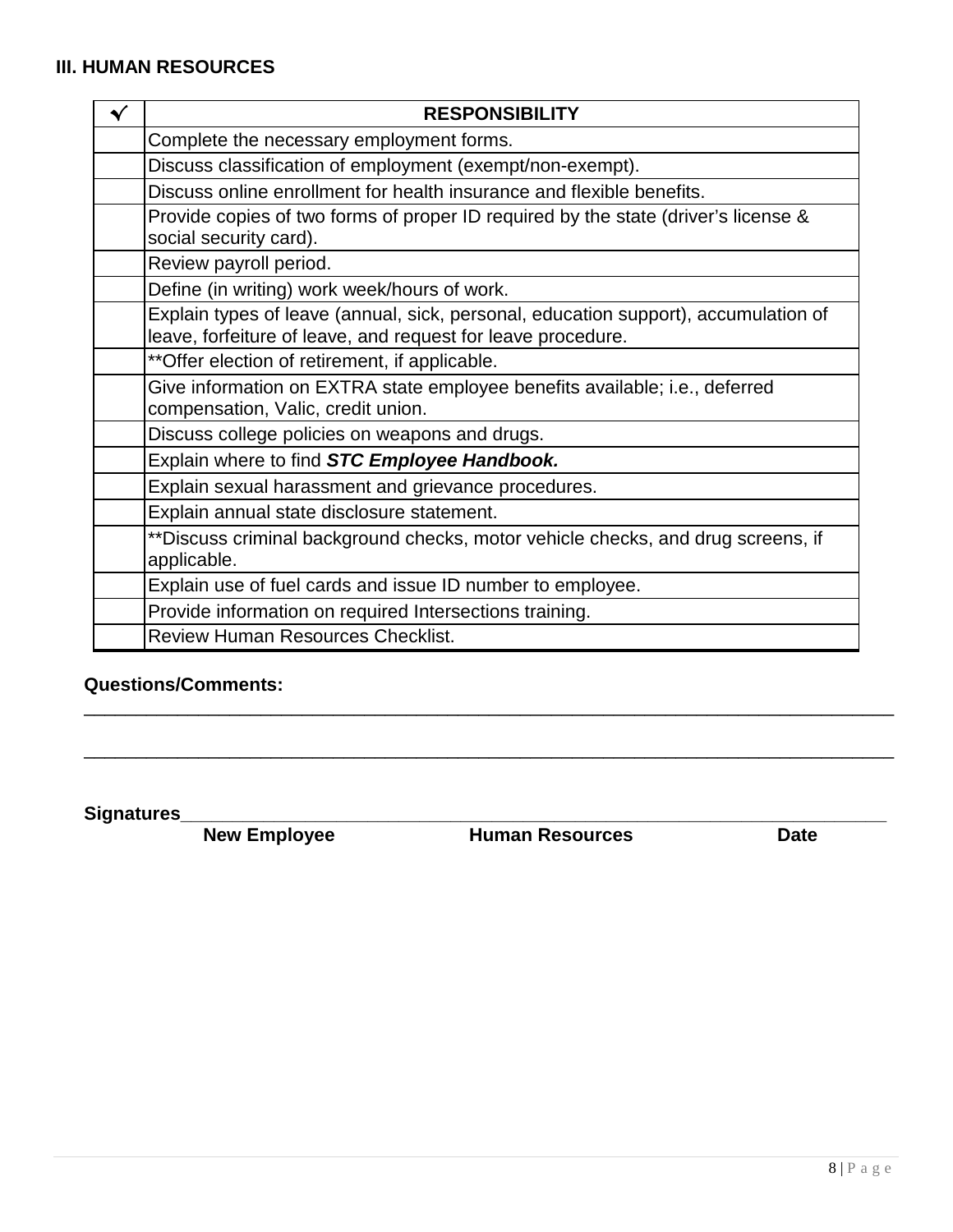#### **III. HUMAN RESOURCES**

| ✔ | <b>RESPONSIBILITY</b>                                                                                                                               |
|---|-----------------------------------------------------------------------------------------------------------------------------------------------------|
|   | Complete the necessary employment forms.                                                                                                            |
|   | Discuss classification of employment (exempt/non-exempt).                                                                                           |
|   | Discuss online enrollment for health insurance and flexible benefits.                                                                               |
|   | Provide copies of two forms of proper ID required by the state (driver's license &<br>social security card).                                        |
|   | Review payroll period.                                                                                                                              |
|   | Define (in writing) work week/hours of work.                                                                                                        |
|   | Explain types of leave (annual, sick, personal, education support), accumulation of<br>leave, forfeiture of leave, and request for leave procedure. |
|   | ** Offer election of retirement, if applicable.                                                                                                     |
|   | Give information on EXTRA state employee benefits available; i.e., deferred<br>compensation, Valic, credit union.                                   |
|   | Discuss college policies on weapons and drugs.                                                                                                      |
|   | Explain where to find STC Employee Handbook.                                                                                                        |
|   | Explain sexual harassment and grievance procedures.                                                                                                 |
|   | Explain annual state disclosure statement.                                                                                                          |
|   | ** Discuss criminal background checks, motor vehicle checks, and drug screens, if<br>applicable.                                                    |
|   | Explain use of fuel cards and issue ID number to employee.                                                                                          |
|   | Provide information on required Intersections training.                                                                                             |
|   | <b>Review Human Resources Checklist.</b>                                                                                                            |

\_\_\_\_\_\_\_\_\_\_\_\_\_\_\_\_\_\_\_\_\_\_\_\_\_\_\_\_\_\_\_\_\_\_\_\_\_\_\_\_\_\_\_\_\_\_\_\_\_\_\_\_\_\_\_\_\_\_\_\_\_\_\_\_\_\_\_\_\_\_\_\_\_\_\_\_\_\_

\_\_\_\_\_\_\_\_\_\_\_\_\_\_\_\_\_\_\_\_\_\_\_\_\_\_\_\_\_\_\_\_\_\_\_\_\_\_\_\_\_\_\_\_\_\_\_\_\_\_\_\_\_\_\_\_\_\_\_\_\_\_\_\_\_\_\_\_\_\_\_\_\_\_\_\_\_\_

#### **Questions/Comments:**

**Signatures\_\_\_\_\_\_\_\_\_\_\_\_\_\_\_\_\_\_\_\_\_\_\_\_\_\_\_\_\_\_\_\_\_\_\_\_\_\_\_\_\_\_\_\_\_\_\_\_\_\_\_\_\_\_\_\_\_\_\_\_\_\_\_\_\_\_\_\_ Numan Resources**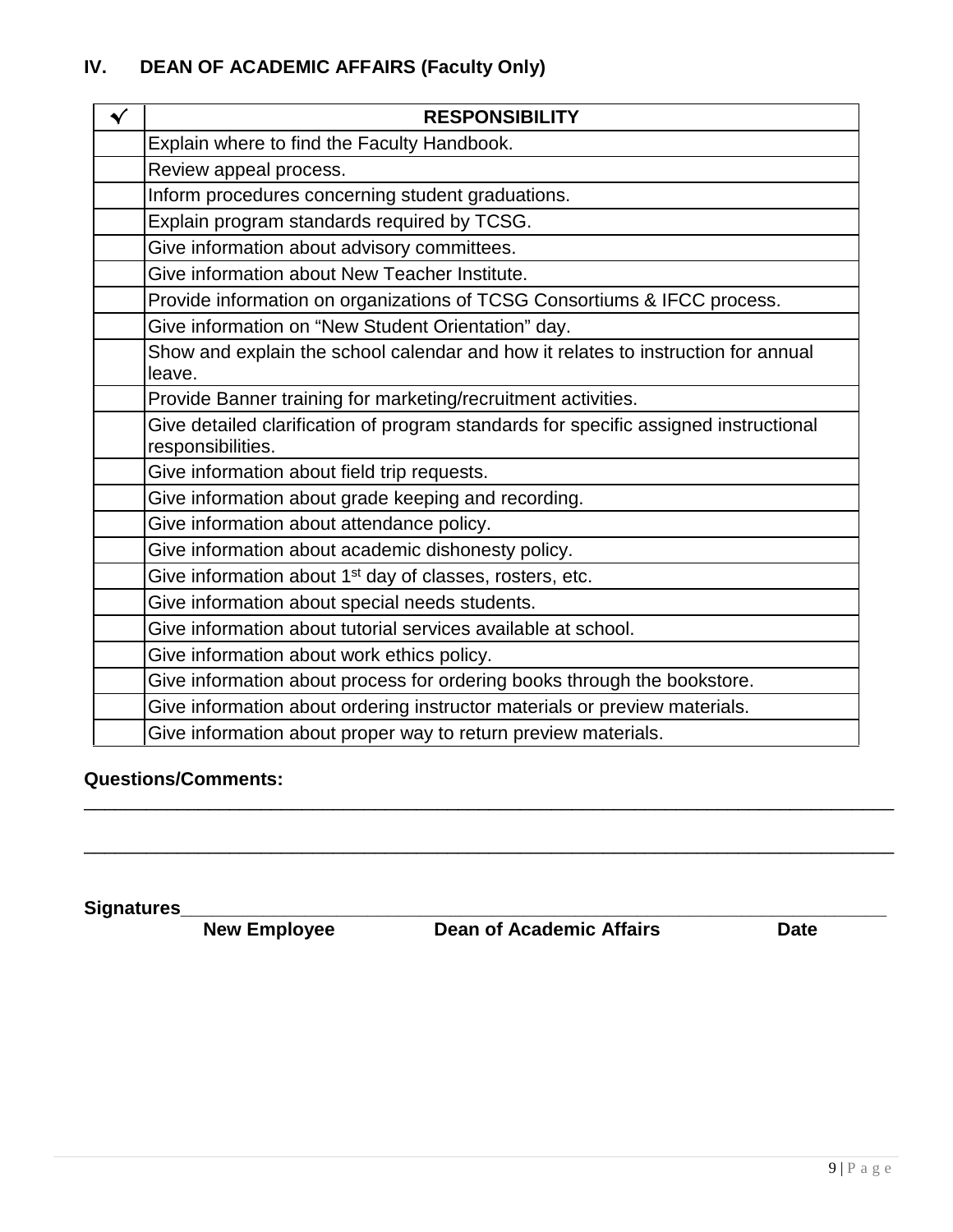# **IV. DEAN OF ACADEMIC AFFAIRS (Faculty Only)**

| $\checkmark$ | <b>RESPONSIBILITY</b>                                                                                     |
|--------------|-----------------------------------------------------------------------------------------------------------|
|              | Explain where to find the Faculty Handbook.                                                               |
|              | Review appeal process.                                                                                    |
|              | Inform procedures concerning student graduations.                                                         |
|              | Explain program standards required by TCSG.                                                               |
|              | Give information about advisory committees.                                                               |
|              | Give information about New Teacher Institute.                                                             |
|              | Provide information on organizations of TCSG Consortiums & IFCC process.                                  |
|              | Give information on "New Student Orientation" day.                                                        |
|              | Show and explain the school calendar and how it relates to instruction for annual                         |
|              | leave.                                                                                                    |
|              | Provide Banner training for marketing/recruitment activities.                                             |
|              | Give detailed clarification of program standards for specific assigned instructional<br>responsibilities. |
|              | Give information about field trip requests.                                                               |
|              | Give information about grade keeping and recording.                                                       |
|              | Give information about attendance policy.                                                                 |
|              | Give information about academic dishonesty policy.                                                        |
|              | Give information about 1 <sup>st</sup> day of classes, rosters, etc.                                      |
|              | Give information about special needs students.                                                            |
|              | Give information about tutorial services available at school.                                             |
|              | Give information about work ethics policy.                                                                |
|              | Give information about process for ordering books through the bookstore.                                  |
|              | Give information about ordering instructor materials or preview materials.                                |
|              | Give information about proper way to return preview materials.                                            |

#### **Questions/Comments:**

**Signatures\_\_\_\_\_\_\_\_\_\_\_\_\_\_\_\_\_\_\_\_\_\_\_\_\_\_\_\_\_\_\_\_\_\_\_\_\_\_\_\_\_\_\_\_\_\_\_\_\_\_\_\_\_\_\_\_\_\_\_\_\_\_\_\_\_\_\_\_ Dean of Academic Affairs** 

\_\_\_\_\_\_\_\_\_\_\_\_\_\_\_\_\_\_\_\_\_\_\_\_\_\_\_\_\_\_\_\_\_\_\_\_\_\_\_\_\_\_\_\_\_\_\_\_\_\_\_\_\_\_\_\_\_\_\_\_\_\_\_\_\_\_\_\_\_\_\_\_\_\_\_\_\_\_

\_\_\_\_\_\_\_\_\_\_\_\_\_\_\_\_\_\_\_\_\_\_\_\_\_\_\_\_\_\_\_\_\_\_\_\_\_\_\_\_\_\_\_\_\_\_\_\_\_\_\_\_\_\_\_\_\_\_\_\_\_\_\_\_\_\_\_\_\_\_\_\_\_\_\_\_\_\_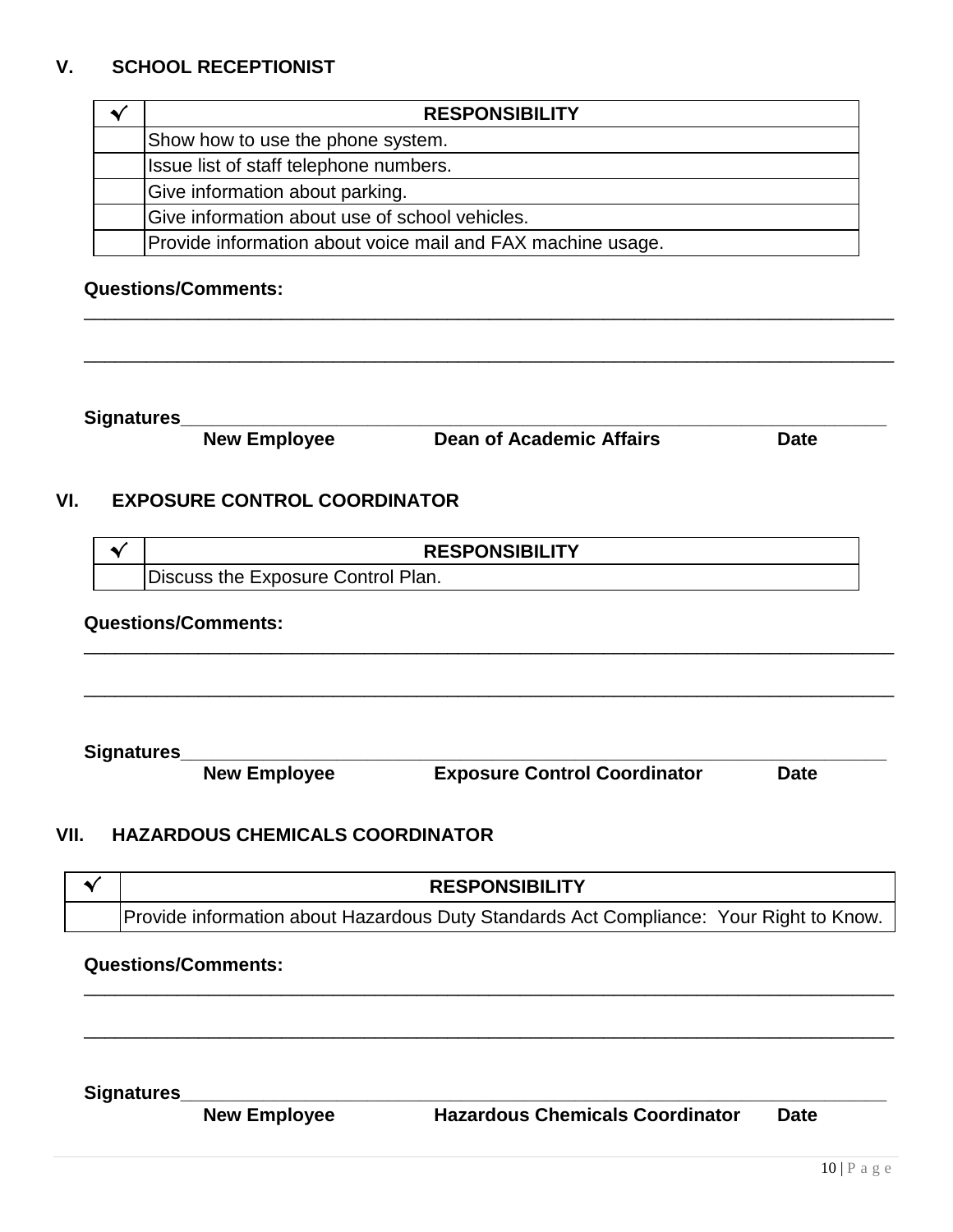#### **V. SCHOOL RECEPTIONIST**

| <b>RESPONSIBILITY</b>                                       |
|-------------------------------------------------------------|
| Show how to use the phone system.                           |
| Issue list of staff telephone numbers.                      |
| Give information about parking.                             |
| Give information about use of school vehicles.              |
| Provide information about voice mail and FAX machine usage. |

\_\_\_\_\_\_\_\_\_\_\_\_\_\_\_\_\_\_\_\_\_\_\_\_\_\_\_\_\_\_\_\_\_\_\_\_\_\_\_\_\_\_\_\_\_\_\_\_\_\_\_\_\_\_\_\_\_\_\_\_\_\_\_\_\_\_\_\_\_\_\_\_\_\_\_\_\_\_

\_\_\_\_\_\_\_\_\_\_\_\_\_\_\_\_\_\_\_\_\_\_\_\_\_\_\_\_\_\_\_\_\_\_\_\_\_\_\_\_\_\_\_\_\_\_\_\_\_\_\_\_\_\_\_\_\_\_\_\_\_\_\_\_\_\_\_\_\_\_\_\_\_\_\_\_\_\_

#### **Questions/Comments:**

**Signatures\_\_\_\_\_\_\_\_\_\_\_\_\_\_\_\_\_\_\_\_\_\_\_\_\_\_\_\_\_\_\_\_\_\_\_\_\_\_\_\_\_\_\_\_\_\_\_\_\_\_\_\_\_\_\_\_\_\_\_\_\_\_\_\_\_\_\_\_**

**New Employee Dean of Academic Affairs Date**

#### **VI. EXPOSURE CONTROL COORDINATOR**

| <b>RESPONSIBILITY</b>              |
|------------------------------------|
| Discuss the Exposure Control Plan. |

\_\_\_\_\_\_\_\_\_\_\_\_\_\_\_\_\_\_\_\_\_\_\_\_\_\_\_\_\_\_\_\_\_\_\_\_\_\_\_\_\_\_\_\_\_\_\_\_\_\_\_\_\_\_\_\_\_\_\_\_\_\_\_\_\_\_\_\_\_\_\_\_\_\_\_\_\_\_

\_\_\_\_\_\_\_\_\_\_\_\_\_\_\_\_\_\_\_\_\_\_\_\_\_\_\_\_\_\_\_\_\_\_\_\_\_\_\_\_\_\_\_\_\_\_\_\_\_\_\_\_\_\_\_\_\_\_\_\_\_\_\_\_\_\_\_\_\_\_\_\_\_\_\_\_\_\_

#### **Questions/Comments:**

**Signatures\_\_\_\_\_\_\_\_\_\_\_\_\_\_\_\_\_\_\_\_\_\_\_\_\_\_\_\_\_\_\_\_\_\_\_\_\_\_\_\_\_\_\_\_\_\_\_\_\_\_\_\_\_\_\_\_\_\_\_\_\_\_\_\_\_\_\_\_ Exposure Control Coordinator** 

#### **VII. HAZARDOUS CHEMICALS COORDINATOR**

| <b>RESPONSIBILITY</b>                                                                  |  |
|----------------------------------------------------------------------------------------|--|
| Provide information about Hazardous Duty Standards Act Compliance: Your Right to Know. |  |

\_\_\_\_\_\_\_\_\_\_\_\_\_\_\_\_\_\_\_\_\_\_\_\_\_\_\_\_\_\_\_\_\_\_\_\_\_\_\_\_\_\_\_\_\_\_\_\_\_\_\_\_\_\_\_\_\_\_\_\_\_\_\_\_\_\_\_\_\_\_\_\_\_\_\_\_\_\_

\_\_\_\_\_\_\_\_\_\_\_\_\_\_\_\_\_\_\_\_\_\_\_\_\_\_\_\_\_\_\_\_\_\_\_\_\_\_\_\_\_\_\_\_\_\_\_\_\_\_\_\_\_\_\_\_\_\_\_\_\_\_\_\_\_\_\_\_\_\_\_\_\_\_\_\_\_\_

#### **Questions/Comments:**

**Signatures\_\_\_\_\_\_\_\_\_\_\_\_\_\_\_\_\_\_\_\_\_\_\_\_\_\_\_\_\_\_\_\_\_\_\_\_\_\_\_\_\_\_\_\_\_\_\_\_\_\_\_\_\_\_\_\_\_\_\_\_\_\_\_\_\_\_\_\_**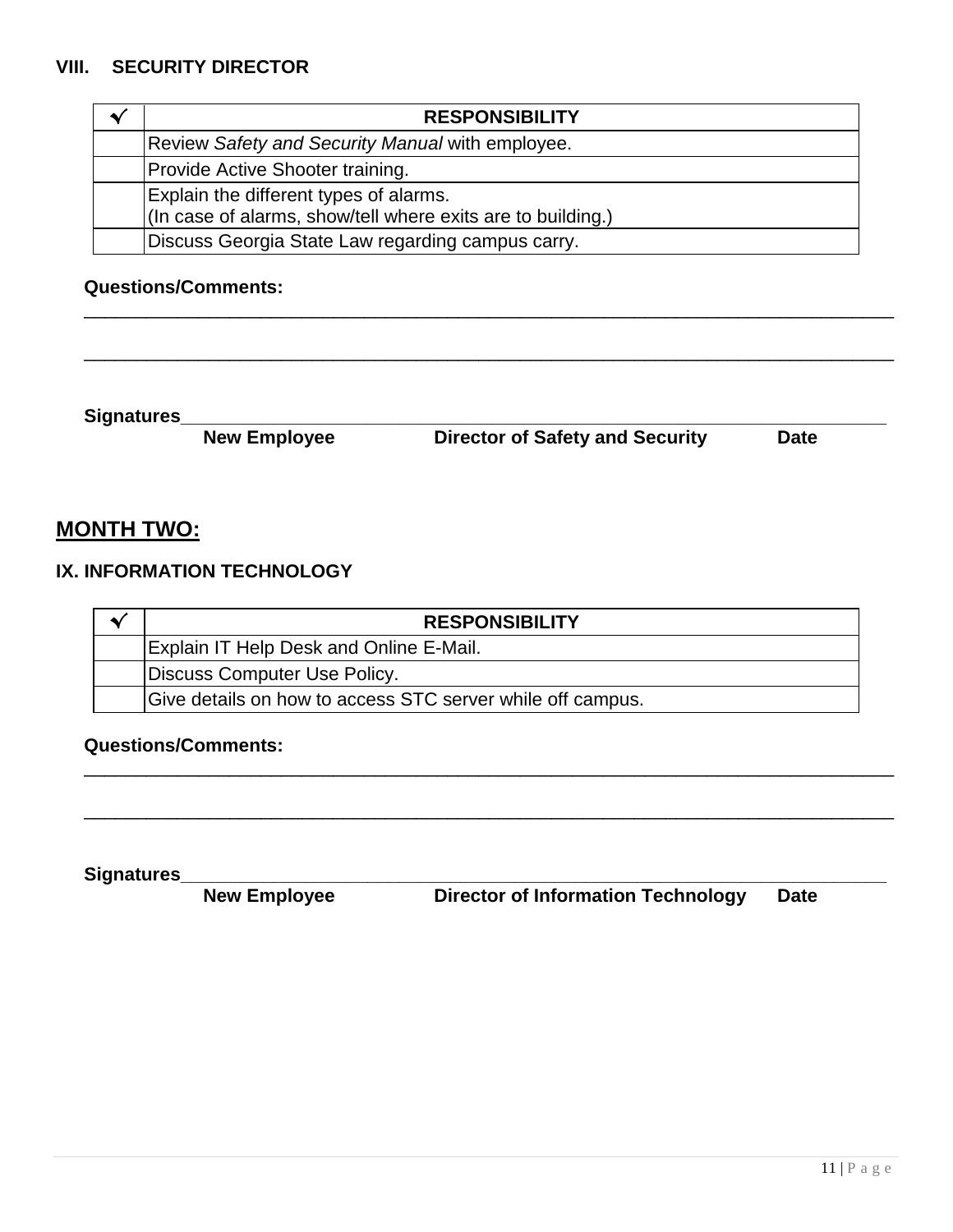| <b>RESPONSIBILITY</b>                                       |
|-------------------------------------------------------------|
| Review Safety and Security Manual with employee.            |
| Provide Active Shooter training.                            |
| Explain the different types of alarms.                      |
| (In case of alarms, show/tell where exits are to building.) |
| Discuss Georgia State Law regarding campus carry.           |

\_\_\_\_\_\_\_\_\_\_\_\_\_\_\_\_\_\_\_\_\_\_\_\_\_\_\_\_\_\_\_\_\_\_\_\_\_\_\_\_\_\_\_\_\_\_\_\_\_\_\_\_\_\_\_\_\_\_\_\_\_\_\_\_\_\_\_\_\_\_\_\_\_\_\_\_\_\_

\_\_\_\_\_\_\_\_\_\_\_\_\_\_\_\_\_\_\_\_\_\_\_\_\_\_\_\_\_\_\_\_\_\_\_\_\_\_\_\_\_\_\_\_\_\_\_\_\_\_\_\_\_\_\_\_\_\_\_\_\_\_\_\_\_\_\_\_\_\_\_\_\_\_\_\_\_\_

#### **Questions/Comments:**

**Signatures\_\_\_\_\_\_\_\_\_\_\_\_\_\_\_\_\_\_\_\_\_\_\_\_\_\_\_\_\_\_\_\_\_\_\_\_\_\_\_\_\_\_\_\_\_\_\_\_\_\_\_\_\_\_\_\_\_\_\_\_\_\_\_\_\_\_\_\_ Director of Safety and Security** 

### **MONTH TWO:**

### **IX. INFORMATION TECHNOLOGY**

| <b>RESPONSIBILITY</b>                                      |
|------------------------------------------------------------|
| <b>Explain IT Help Desk and Online E-Mail.</b>             |
| Discuss Computer Use Policy.                               |
| Give details on how to access STC server while off campus. |

\_\_\_\_\_\_\_\_\_\_\_\_\_\_\_\_\_\_\_\_\_\_\_\_\_\_\_\_\_\_\_\_\_\_\_\_\_\_\_\_\_\_\_\_\_\_\_\_\_\_\_\_\_\_\_\_\_\_\_\_\_\_\_\_\_\_\_\_\_\_\_\_\_\_\_\_\_\_

\_\_\_\_\_\_\_\_\_\_\_\_\_\_\_\_\_\_\_\_\_\_\_\_\_\_\_\_\_\_\_\_\_\_\_\_\_\_\_\_\_\_\_\_\_\_\_\_\_\_\_\_\_\_\_\_\_\_\_\_\_\_\_\_\_\_\_\_\_\_\_\_\_\_\_\_\_\_

#### **Questions/Comments:**

**Signatures\_\_\_\_\_\_\_\_\_\_\_\_\_\_\_\_\_\_\_\_\_\_\_\_\_\_\_\_\_\_\_\_\_\_\_\_\_\_\_\_\_\_\_\_\_\_\_\_\_\_\_\_\_\_\_\_\_\_\_\_\_\_\_\_\_\_\_\_ Director of Information Technology**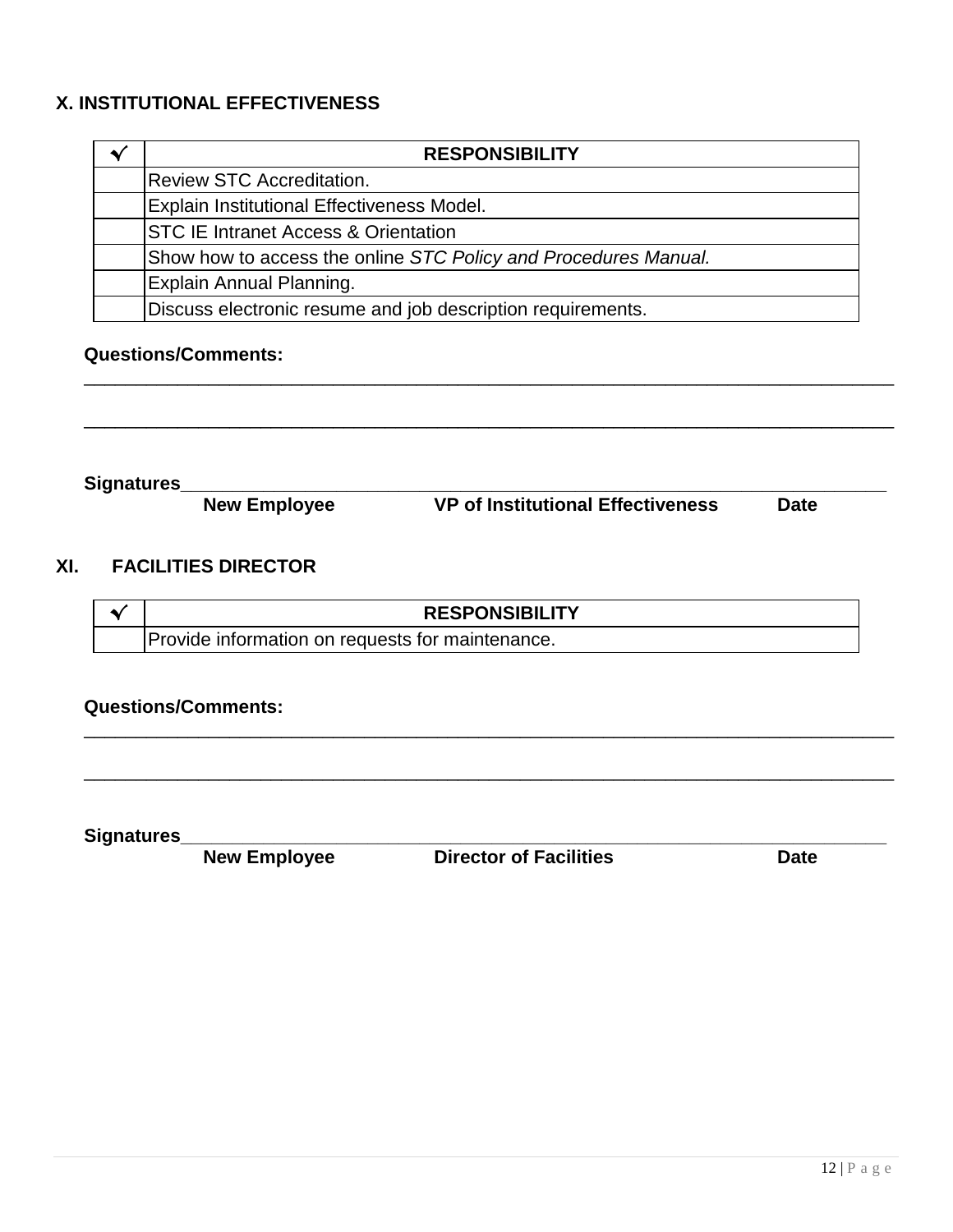#### **X. INSTITUTIONAL EFFECTIVENESS**

| <b>RESPONSIBILITY</b>                                           |
|-----------------------------------------------------------------|
| <b>Review STC Accreditation.</b>                                |
| <b>Explain Institutional Effectiveness Model.</b>               |
| <b>STC IE Intranet Access &amp; Orientation</b>                 |
| Show how to access the online STC Policy and Procedures Manual. |
| Explain Annual Planning.                                        |
| Discuss electronic resume and job description requirements.     |

\_\_\_\_\_\_\_\_\_\_\_\_\_\_\_\_\_\_\_\_\_\_\_\_\_\_\_\_\_\_\_\_\_\_\_\_\_\_\_\_\_\_\_\_\_\_\_\_\_\_\_\_\_\_\_\_\_\_\_\_\_\_\_\_\_\_\_\_\_\_\_\_\_\_\_\_\_\_

\_\_\_\_\_\_\_\_\_\_\_\_\_\_\_\_\_\_\_\_\_\_\_\_\_\_\_\_\_\_\_\_\_\_\_\_\_\_\_\_\_\_\_\_\_\_\_\_\_\_\_\_\_\_\_\_\_\_\_\_\_\_\_\_\_\_\_\_\_\_\_\_\_\_\_\_\_\_

#### **Questions/Comments:**

**Signatures\_\_\_\_\_\_\_\_\_\_\_\_\_\_\_\_\_\_\_\_\_\_\_\_\_\_\_\_\_\_\_\_\_\_\_\_\_\_\_\_\_\_\_\_\_\_\_\_\_\_\_\_\_\_\_\_\_\_\_\_\_\_\_\_\_\_\_\_ VP of Institutional Effectiveness** 

#### **XI. FACILITIES DIRECTOR**

| <b>RESPONSIBILITY</b>                            |  |
|--------------------------------------------------|--|
| Provide information on requests for maintenance. |  |

\_\_\_\_\_\_\_\_\_\_\_\_\_\_\_\_\_\_\_\_\_\_\_\_\_\_\_\_\_\_\_\_\_\_\_\_\_\_\_\_\_\_\_\_\_\_\_\_\_\_\_\_\_\_\_\_\_\_\_\_\_\_\_\_\_\_\_\_\_\_\_\_\_\_\_\_\_\_

\_\_\_\_\_\_\_\_\_\_\_\_\_\_\_\_\_\_\_\_\_\_\_\_\_\_\_\_\_\_\_\_\_\_\_\_\_\_\_\_\_\_\_\_\_\_\_\_\_\_\_\_\_\_\_\_\_\_\_\_\_\_\_\_\_\_\_\_\_\_\_\_\_\_\_\_\_\_

#### **Questions/Comments:**

**New Employee** 

**Signatures\_\_\_\_\_\_\_\_\_\_\_\_\_\_\_\_\_\_\_\_\_\_\_\_\_\_\_\_\_\_\_\_\_\_\_\_\_\_\_\_\_\_\_\_\_\_\_\_\_\_\_\_\_\_\_\_\_\_\_\_\_\_\_\_\_\_\_\_**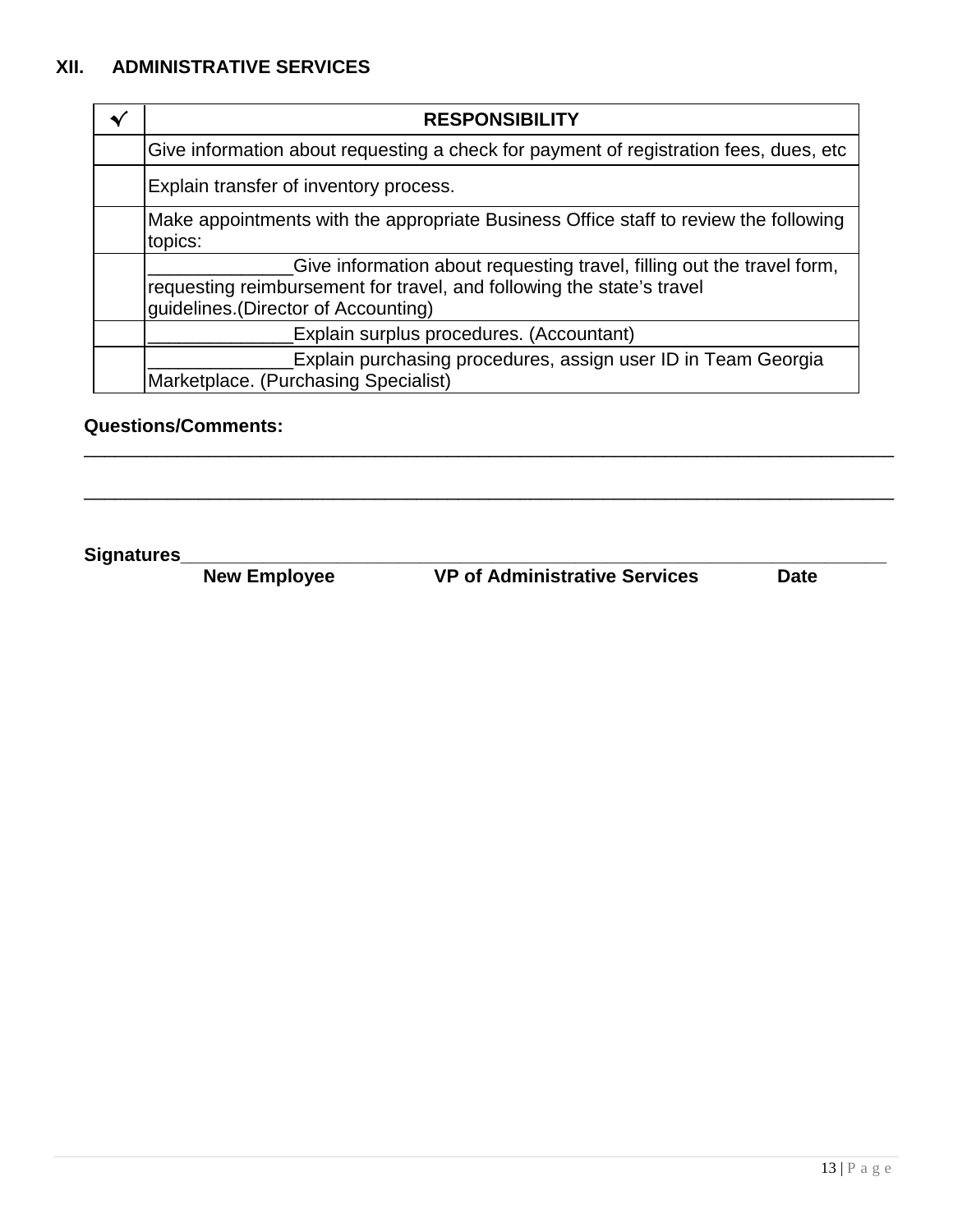#### **XII. ADMINISTRATIVE SERVICES**

| <b>RESPONSIBILITY</b>                                                                                                                                                                   |
|-----------------------------------------------------------------------------------------------------------------------------------------------------------------------------------------|
| Give information about requesting a check for payment of registration fees, dues, etc.                                                                                                  |
| Explain transfer of inventory process.                                                                                                                                                  |
| Make appointments with the appropriate Business Office staff to review the following<br>topics:                                                                                         |
| Give information about requesting travel, filling out the travel form,<br>requesting reimbursement for travel, and following the state's travel<br>guidelines. (Director of Accounting) |
| Explain surplus procedures. (Accountant)                                                                                                                                                |
| Explain purchasing procedures, assign user ID in Team Georgia<br>Marketplace. (Purchasing Specialist)                                                                                   |

\_\_\_\_\_\_\_\_\_\_\_\_\_\_\_\_\_\_\_\_\_\_\_\_\_\_\_\_\_\_\_\_\_\_\_\_\_\_\_\_\_\_\_\_\_\_\_\_\_\_\_\_\_\_\_\_\_\_\_\_\_\_\_\_\_\_\_\_\_\_\_\_\_\_\_\_\_\_

\_\_\_\_\_\_\_\_\_\_\_\_\_\_\_\_\_\_\_\_\_\_\_\_\_\_\_\_\_\_\_\_\_\_\_\_\_\_\_\_\_\_\_\_\_\_\_\_\_\_\_\_\_\_\_\_\_\_\_\_\_\_\_\_\_\_\_\_\_\_\_\_\_\_\_\_\_\_

#### **Questions/Comments:**

**Signatures\_\_\_\_\_\_\_\_\_\_\_\_\_\_\_\_\_\_\_\_\_\_\_\_\_\_\_\_\_\_\_\_\_\_\_\_\_\_\_\_\_\_\_\_\_\_\_\_\_\_\_\_\_\_\_\_\_\_\_\_\_\_\_\_\_\_\_\_**

**New Employee VP of Administrative Services Date**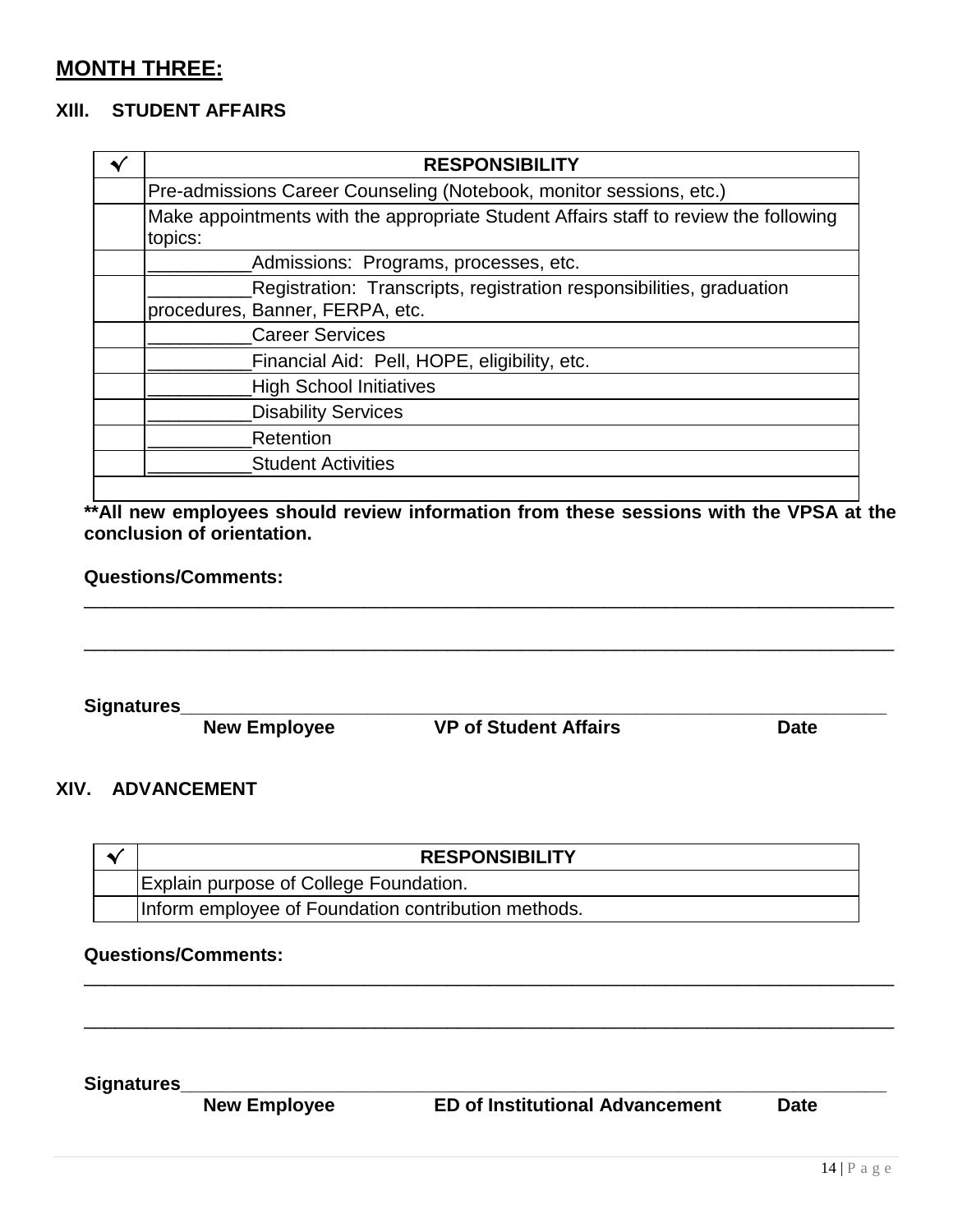#### **MONTH THREE:**

#### **XIlI. STUDENT AFFAIRS**

| <b>RESPONSIBILITY</b>                                                                                   |
|---------------------------------------------------------------------------------------------------------|
| Pre-admissions Career Counseling (Notebook, monitor sessions, etc.)                                     |
| Make appointments with the appropriate Student Affairs staff to review the following<br>topics:         |
| Admissions: Programs, processes, etc.                                                                   |
| Registration: Transcripts, registration responsibilities, graduation<br>procedures, Banner, FERPA, etc. |
| <b>Career Services</b>                                                                                  |
| Financial Aid: Pell, HOPE, eligibility, etc.                                                            |
| <b>High School Initiatives</b>                                                                          |
| <b>Disability Services</b>                                                                              |
| Retention                                                                                               |
| <b>Student Activities</b>                                                                               |
|                                                                                                         |

**\*\*All new employees should review information from these sessions with the VPSA at the conclusion of orientation.**

\_\_\_\_\_\_\_\_\_\_\_\_\_\_\_\_\_\_\_\_\_\_\_\_\_\_\_\_\_\_\_\_\_\_\_\_\_\_\_\_\_\_\_\_\_\_\_\_\_\_\_\_\_\_\_\_\_\_\_\_\_\_\_\_\_\_\_\_\_\_\_\_\_\_\_\_\_\_

\_\_\_\_\_\_\_\_\_\_\_\_\_\_\_\_\_\_\_\_\_\_\_\_\_\_\_\_\_\_\_\_\_\_\_\_\_\_\_\_\_\_\_\_\_\_\_\_\_\_\_\_\_\_\_\_\_\_\_\_\_\_\_\_\_\_\_\_\_\_\_\_\_\_\_\_\_\_

#### **Questions/Comments:**

**Signatures\_\_\_\_\_\_\_\_\_\_\_\_\_\_\_\_\_\_\_\_\_\_\_\_\_\_\_\_\_\_\_\_\_\_\_\_\_\_\_\_\_\_\_\_\_\_\_\_\_\_\_\_\_\_\_\_\_\_\_\_\_\_\_\_\_\_\_\_**

**New Employee VP of Student Affairs Date**

#### **XIV. ADVANCEMENT**

| <b>RESPONSIBILITY</b>                               |
|-----------------------------------------------------|
| <b>Explain purpose of College Foundation.</b>       |
| Inform employee of Foundation contribution methods. |

\_\_\_\_\_\_\_\_\_\_\_\_\_\_\_\_\_\_\_\_\_\_\_\_\_\_\_\_\_\_\_\_\_\_\_\_\_\_\_\_\_\_\_\_\_\_\_\_\_\_\_\_\_\_\_\_\_\_\_\_\_\_\_\_\_\_\_\_\_\_\_\_\_\_\_\_\_\_

\_\_\_\_\_\_\_\_\_\_\_\_\_\_\_\_\_\_\_\_\_\_\_\_\_\_\_\_\_\_\_\_\_\_\_\_\_\_\_\_\_\_\_\_\_\_\_\_\_\_\_\_\_\_\_\_\_\_\_\_\_\_\_\_\_\_\_\_\_\_\_\_\_\_\_\_\_\_

#### **Questions/Comments:**

**Signatures\_\_\_\_\_\_\_\_\_\_\_\_\_\_\_\_\_\_\_\_\_\_\_\_\_\_\_\_\_\_\_\_\_\_\_\_\_\_\_\_\_\_\_\_\_\_\_\_\_\_\_\_\_\_\_\_\_\_\_\_\_\_\_\_\_\_\_\_ ED** of Institutional Advancement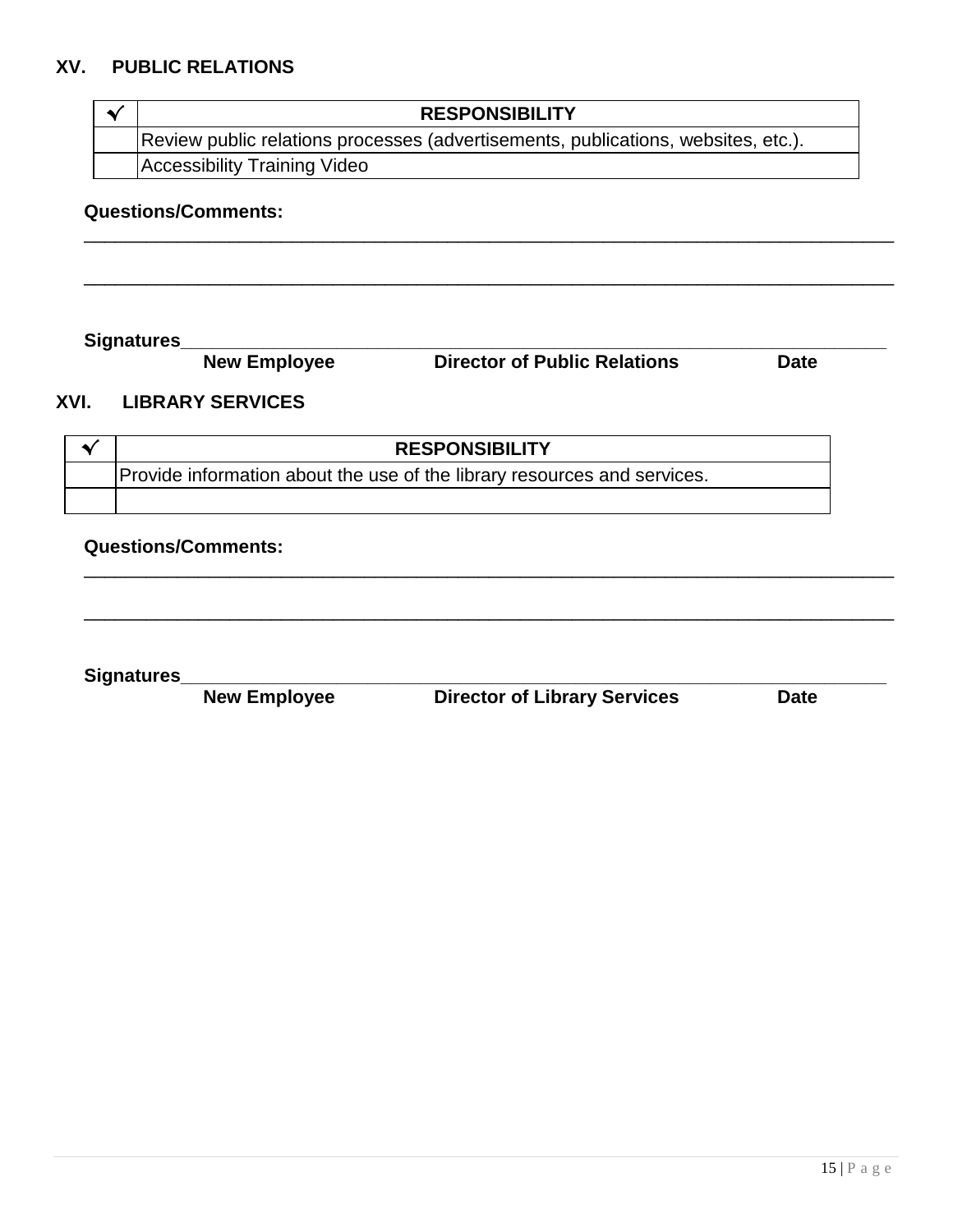#### **XV. PUBLIC RELATIONS**

| $\blacktriangleright$ | <b>RESPONSIBILITY</b>                                                             |  |
|-----------------------|-----------------------------------------------------------------------------------|--|
|                       | Review public relations processes (advertisements, publications, websites, etc.). |  |
|                       | <b>Accessibility Training Video</b>                                               |  |

\_\_\_\_\_\_\_\_\_\_\_\_\_\_\_\_\_\_\_\_\_\_\_\_\_\_\_\_\_\_\_\_\_\_\_\_\_\_\_\_\_\_\_\_\_\_\_\_\_\_\_\_\_\_\_\_\_\_\_\_\_\_\_\_\_\_\_\_\_\_\_\_\_\_\_\_\_\_

\_\_\_\_\_\_\_\_\_\_\_\_\_\_\_\_\_\_\_\_\_\_\_\_\_\_\_\_\_\_\_\_\_\_\_\_\_\_\_\_\_\_\_\_\_\_\_\_\_\_\_\_\_\_\_\_\_\_\_\_\_\_\_\_\_\_\_\_\_\_\_\_\_\_\_\_\_\_

\_\_\_\_\_\_\_\_\_\_\_\_\_\_\_\_\_\_\_\_\_\_\_\_\_\_\_\_\_\_\_\_\_\_\_\_\_\_\_\_\_\_\_\_\_\_\_\_\_\_\_\_\_\_\_\_\_\_\_\_\_\_\_\_\_\_\_\_\_\_\_\_\_\_\_\_\_\_

\_\_\_\_\_\_\_\_\_\_\_\_\_\_\_\_\_\_\_\_\_\_\_\_\_\_\_\_\_\_\_\_\_\_\_\_\_\_\_\_\_\_\_\_\_\_\_\_\_\_\_\_\_\_\_\_\_\_\_\_\_\_\_\_\_\_\_\_\_\_\_\_\_\_\_\_\_\_

#### **Questions/Comments:**

**Signatures\_\_\_\_\_\_\_\_\_\_\_\_\_\_\_\_\_\_\_\_\_\_\_\_\_\_\_\_\_\_\_\_\_\_\_\_\_\_\_\_\_\_\_\_\_\_\_\_\_\_\_\_\_\_\_\_\_\_\_\_\_\_\_\_\_\_\_\_**

**Director of Public Relations Date** 

#### **XVI. LIBRARY SERVICES**

| <b>RESPONSIBILITY</b>                                                    |  |
|--------------------------------------------------------------------------|--|
| Provide information about the use of the library resources and services. |  |
|                                                                          |  |

#### **Questions/Comments:**

**Signatures\_\_\_\_\_\_\_\_\_\_\_\_\_\_\_\_\_\_\_\_\_\_\_\_\_\_\_\_\_\_\_\_\_\_\_\_\_\_\_\_\_\_\_\_\_\_\_\_\_\_\_\_\_\_\_\_\_\_\_\_\_\_\_\_\_\_\_\_**

**Director of Library Services Date**